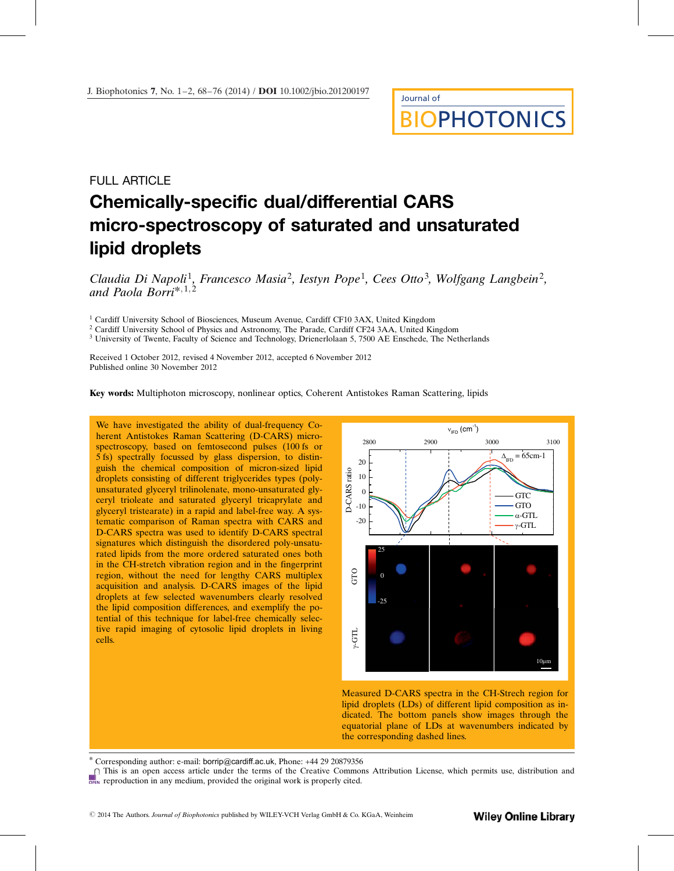# Journal of **OPHOTONICS**

## FULL ARTICLE Chemically-specific dual/differential CARS micro-spectroscopy of saturated and unsaturated lipid droplets

Claudia Di Napoli<sup>1</sup>, Francesco Masia<sup>2</sup>, Iestyn Pope<sup>1</sup>, Cees Otto<sup>3</sup>, Wolfgang Langbein<sup>2</sup>, and Paola Borri\*, $1,2$ 

<sup>1</sup> Cardiff University School of Biosciences, Museum Avenue, Cardiff CF10 3AX, United Kingdom

<sup>2</sup> Cardiff University School of Physics and Astronomy, The Parade, Cardiff CF24 3AA, United Kingdom

<sup>3</sup> University of Twente, Faculty of Science and Technology, Drienerlolaan 5, 7500 AE Enschede, The Netherlands

Received 1 October 2012, revised 4 November 2012, accepted 6 November 2012 Published online 30 November 2012

Key words: Multiphoton microscopy, nonlinear optics, Coherent Antistokes Raman Scattering, lipids

We have investigated the ability of dual-frequency Coherent Antistokes Raman Scattering (D-CARS) microspectroscopy, based on femtosecond pulses (100 fs or 5 fs) spectrally focussed by glass dispersion, to distinguish the chemical composition of micron-sized lipid droplets consisting of different triglycerides types (polyunsaturated glyceryl trilinolenate, mono-unsaturated glyceryl trioleate and saturated glyceryl tricaprylate and glyceryl tristearate) in a rapid and label-free way. A systematic comparison of Raman spectra with CARS and D-CARS spectra was used to identify D-CARS spectral signatures which distinguish the disordered poly-unsaturated lipids from the more ordered saturated ones both in the CH-stretch vibration region and in the fingerprint region, without the need for lengthy CARS multiplex acquisition and analysis. D-CARS images of the lipid droplets at few selected wavenumbers clearly resolved the lipid composition differences, and exemplify the potential of this technique for label-free chemically selective rapid imaging of cytosolic lipid droplets in living cells.



Measured D-CARS spectra in the CH-Strech region for lipid droplets (LDs) of different lipid composition as indicated. The bottom panels show images through the equatorial plane of LDs at wavenumbers indicated by the corresponding dashed lines.

Corresponding author: e-mail: borrip@cardiff.ac.uk, Phone: +44 29 20879356

This is an open access article under the terms of the Creative Commons Attribution License, which permits use, distribution and **PEN** reproduction in any medium, provided the original work is properly cited.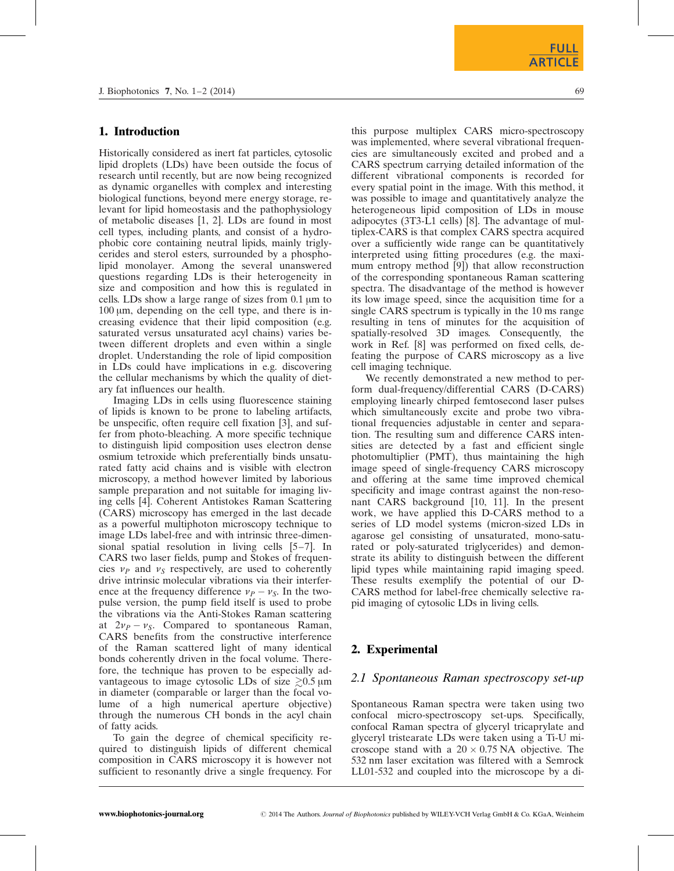#### 1. Introduction

Historically considered as inert fat particles, cytosolic lipid droplets (LDs) have been outside the focus of research until recently, but are now being recognized as dynamic organelles with complex and interesting biological functions, beyond mere energy storage, relevant for lipid homeostasis and the pathophysiology of metabolic diseases [1, 2]. LDs are found in most cell types, including plants, and consist of a hydrophobic core containing neutral lipids, mainly triglycerides and sterol esters, surrounded by a phospholipid monolayer. Among the several unanswered questions regarding LDs is their heterogeneity in size and composition and how this is regulated in cells. LDs show a large range of sizes from  $0.1 \mu m$  to  $100 \mu m$ , depending on the cell type, and there is increasing evidence that their lipid composition (e.g. saturated versus unsaturated acyl chains) varies between different droplets and even within a single droplet. Understanding the role of lipid composition in LDs could have implications in e.g. discovering the cellular mechanisms by which the quality of dietary fat influences our health.

Imaging LDs in cells using fluorescence staining of lipids is known to be prone to labeling artifacts, be unspecific, often require cell fixation [3], and suffer from photo-bleaching. A more specific technique to distinguish lipid composition uses electron dense osmium tetroxide which preferentially binds unsaturated fatty acid chains and is visible with electron microscopy, a method however limited by laborious sample preparation and not suitable for imaging living cells [4]. Coherent Antistokes Raman Scattering (CARS) microscopy has emerged in the last decade as a powerful multiphoton microscopy technique to image LDs label-free and with intrinsic three-dimensional spatial resolution in living cells [5–7]. In CARS two laser fields, pump and Stokes of frequencies  $\nu_P$  and  $\nu_S$  respectively, are used to coherently drive intrinsic molecular vibrations via their interference at the frequency difference  $v_P - v_S$ . In the twopulse version, the pump field itself is used to probe the vibrations via the Anti-Stokes Raman scattering at  $2v_P - v_S$ . Compared to spontaneous Raman, CARS benefits from the constructive interference of the Raman scattered light of many identical bonds coherently driven in the focal volume. Therefore, the technique has proven to be especially advantageous to image cytosolic LDs of size  $\geq 0.5 \,\mathrm{\upmu m}$ in diameter (comparable or larger than the focal volume of a high numerical aperture objective) through the numerous CH bonds in the acyl chain of fatty acids.

To gain the degree of chemical specificity required to distinguish lipids of different chemical composition in CARS microscopy it is however not sufficient to resonantly drive a single frequency. For this purpose multiplex CARS micro-spectroscopy was implemented, where several vibrational frequencies are simultaneously excited and probed and a CARS spectrum carrying detailed information of the different vibrational components is recorded for every spatial point in the image. With this method, it was possible to image and quantitatively analyze the heterogeneous lipid composition of LDs in mouse adipocytes (3T3-L1 cells) [8]. The advantage of multiplex-CARS is that complex CARS spectra acquired over a sufficiently wide range can be quantitatively interpreted using fitting procedures (e.g. the maximum entropy method [9]) that allow reconstruction of the corresponding spontaneous Raman scattering spectra. The disadvantage of the method is however its low image speed, since the acquisition time for a single CARS spectrum is typically in the 10 ms range resulting in tens of minutes for the acquisition of spatially-resolved 3D images. Consequently, the work in Ref. [8] was performed on fixed cells, defeating the purpose of CARS microscopy as a live cell imaging technique.

We recently demonstrated a new method to perform dual-frequency/differential CARS (D-CARS) employing linearly chirped femtosecond laser pulses which simultaneously excite and probe two vibrational frequencies adjustable in center and separation. The resulting sum and difference CARS intensities are detected by a fast and efficient single photomultiplier (PMT), thus maintaining the high image speed of single-frequency CARS microscopy and offering at the same time improved chemical specificity and image contrast against the non-resonant CARS background [10, 11]. In the present work, we have applied this D-CARS method to a series of LD model systems (micron-sized LDs in agarose gel consisting of unsaturated, mono-saturated or poly-saturated triglycerides) and demonstrate its ability to distinguish between the different lipid types while maintaining rapid imaging speed. These results exemplify the potential of our D-CARS method for label-free chemically selective rapid imaging of cytosolic LDs in living cells.

### 2. Experimental

#### 2.1 Spontaneous Raman spectroscopy set-up

Spontaneous Raman spectra were taken using two confocal micro-spectroscopy set-ups. Specifically, confocal Raman spectra of glyceryl tricaprylate and glyceryl tristearate LDs were taken using a Ti-U microscope stand with a  $20 \times 0.75$  NA objective. The 532 nm laser excitation was filtered with a Semrock LL01-532 and coupled into the microscope by a di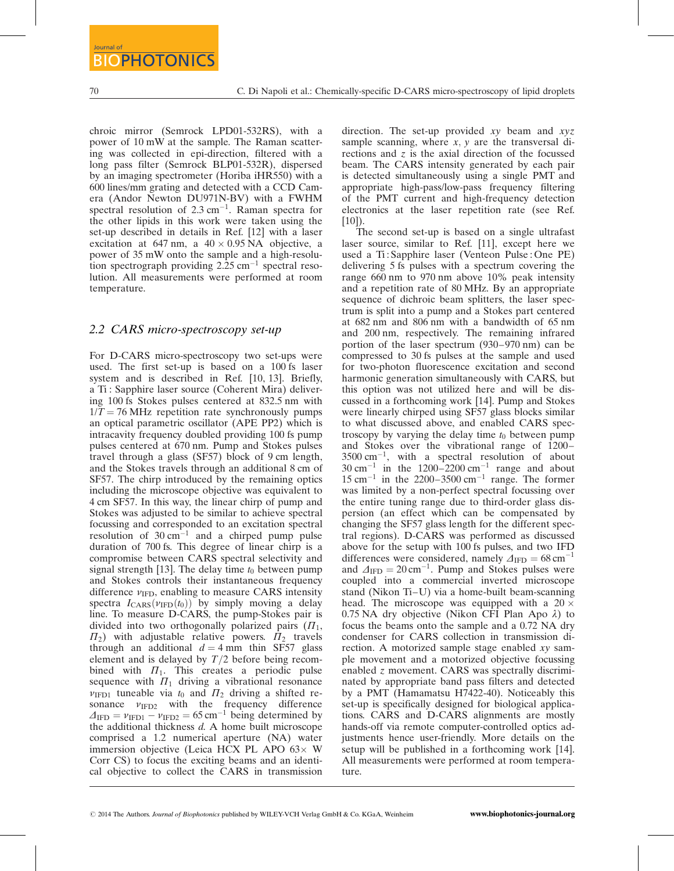chroic mirror (Semrock LPD01-532RS), with a power of 10 mW at the sample. The Raman scattering was collected in epi-direction, filtered with a long pass filter (Semrock BLP01-532R), dispersed by an imaging spectrometer (Horiba iHR550) with a 600 lines/mm grating and detected with a CCD Camera (Andor Newton DU971N-BV) with a FWHM spectral resolution of  $2.3 \text{ cm}^{-1}$ . Raman spectra for the other lipids in this work were taken using the set-up described in details in Ref. [12] with a laser excitation at 647 nm, a  $40 \times 0.95$  NA objective, a power of 35 mW onto the sample and a high-resolution spectrograph providing  $2.25 \text{ cm}^{-1}$  spectral resolution. All measurements were performed at room temperature.

#### 2.2 CARS micro-spectroscopy set-up

For D-CARS micro-spectroscopy two set-ups were used. The first set-up is based on a 100 fs laser system and is described in Ref. [10, 13]. Briefly, a Ti : Sapphire laser source (Coherent Mira) delivering 100 fs Stokes pulses centered at 832.5 nm with  $1/T = 76$  MHz repetition rate synchronously pumps an optical parametric oscillator (APE PP2) which is intracavity frequency doubled providing 100 fs pump pulses centered at 670 nm. Pump and Stokes pulses travel through a glass (SF57) block of 9 cm length, and the Stokes travels through an additional 8 cm of SF57. The chirp introduced by the remaining optics including the microscope objective was equivalent to 4 cm SF57. In this way, the linear chirp of pump and Stokes was adjusted to be similar to achieve spectral focussing and corresponded to an excitation spectral resolution of  $30 \text{ cm}^{-1}$  and a chirped pump pulse duration of 700 fs. This degree of linear chirp is a compromise between CARS spectral selectivity and signal strength [13]. The delay time  $t_0$  between pump and Stokes controls their instantaneous frequency difference  $v_{\text{IFD}}$ , enabling to measure CARS intensity spectra  $I_{\text{CARS}}(v_{\text{IFD}}(t_0))$  by simply moving a delay line. To measure D-CARS, the pump-Stokes pair is divided into two orthogonally polarized pairs  $(\Pi_1,$  $\Pi_2$ ) with adjustable relative powers.  $\Pi_2$  travels through an additional  $d = 4$  mm thin SF57 glass element and is delayed by  $T/2$  before being recombined with  $\Pi_1$ . This creates a periodic pulse sequence with  $\Pi_1$  driving a vibrational resonance  $v_{\text{IFD1}}$  tuneable via  $t_0$  and  $\Pi_2$  driving a shifted resonance  $v_{\text{IFD2}}$  with the frequency difference  $\Delta_{\text{IFD}} = \nu_{\text{IFD1}} - \nu_{\text{IFD2}} = 65 \text{ cm}^{-1}$  being determined by the additional thickness d. A home built microscope comprised a 1.2 numerical aperture (NA) water immersion objective (Leica HCX PL APO  $63\times$  W Corr CS) to focus the exciting beams and an identical objective to collect the CARS in transmission

direction. The set-up provided  $xy$  beam and  $xyz$ sample scanning, where  $x$ ,  $y$  are the transversal directions and  $\zeta$  is the axial direction of the focussed beam. The CARS intensity generated by each pair is detected simultaneously using a single PMT and appropriate high-pass/low-pass frequency filtering of the PMT current and high-frequency detection electronics at the laser repetition rate (see Ref.  $[10]$ ).

The second set-up is based on a single ultrafast laser source, similar to Ref. [11], except here we used a Ti : Sapphire laser (Venteon Pulse : One PE) delivering 5 fs pulses with a spectrum covering the range 660 nm to 970 nm above 10% peak intensity and a repetition rate of 80 MHz. By an appropriate sequence of dichroic beam splitters, the laser spectrum is split into a pump and a Stokes part centered at 682 nm and 806 nm with a bandwidth of 65 nm and 200 nm, respectively. The remaining infrared portion of the laser spectrum (930–970 nm) can be compressed to 30 fs pulses at the sample and used for two-photon fluorescence excitation and second harmonic generation simultaneously with CARS, but this option was not utilized here and will be discussed in a forthcoming work [14]. Pump and Stokes were linearly chirped using SF57 glass blocks similar to what discussed above, and enabled CARS spectroscopy by varying the delay time  $t_0$  between pump and Stokes over the vibrational range of 1200–  $3500 \text{ cm}^{-1}$ , with a spectral resolution of about  $30 \text{ cm}^{-1}$  in the 1200–2200 cm<sup>-1</sup> range and about  $15 \text{ cm}^{-1}$  in the 2200–3500 cm<sup>-1</sup> range. The former was limited by a non-perfect spectral focussing over the entire tuning range due to third-order glass dispersion (an effect which can be compensated by changing the SF57 glass length for the different spectral regions). D-CARS was performed as discussed above for the setup with 100 fs pulses, and two IFD differences were considered, namely  $\Delta_{\text{IFD}} = 68 \text{ cm}^{-1}$ and  $\Delta_{\text{IFD}} = 20 \text{ cm}^{-1}$ . Pump and Stokes pulses were coupled into a commercial inverted microscope stand (Nikon Ti–U) via a home-built beam-scanning head. The microscope was equipped with a  $20 \times$  $0.75$  NA dry objective (Nikon CFI Plan Apo  $\lambda$ ) to focus the beams onto the sample and a 0.72 NA dry condenser for CARS collection in transmission direction. A motorized sample stage enabled xy sample movement and a motorized objective focussing enabled z movement. CARS was spectrally discriminated by appropriate band pass filters and detected by a PMT (Hamamatsu H7422-40). Noticeably this set-up is specifically designed for biological applications. CARS and D-CARS alignments are mostly hands-off via remote computer-controlled optics adjustments hence user-friendly. More details on the setup will be published in a forthcoming work [14]. All measurements were performed at room temperature.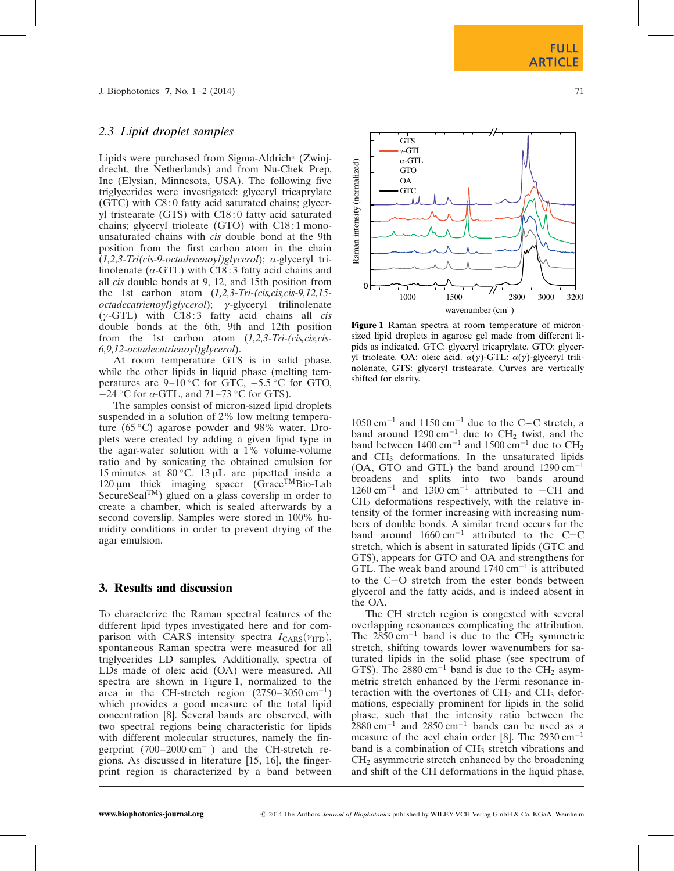## 2.3 Lipid droplet samples

Lipids were purchased from Sigma-Aldrich<sup>®</sup> (Zwinjdrecht, the Netherlands) and from Nu-Chek Prep, Inc (Elysian, Minnesota, USA). The following five triglycerides were investigated: glyceryl tricaprylate (GTC) with C8 : 0 fatty acid saturated chains; glyceryl tristearate (GTS) with C18 : 0 fatty acid saturated chains; glyceryl trioleate (GTO) with C18 : 1 monounsaturated chains with cis double bond at the 9th position from the first carbon atom in the chain (1,2,3-Tri(cis-9-octadecenoyl)glycerol); a-glyceryl trilinolenate ( $\alpha$ -GTL) with C18:3 fatty acid chains and all cis double bonds at 9, 12, and 15th position from the 1st carbon atom  $(1,2,3\text{-}Tri-(cis,cis,cis-9,12,15$  $octadecatrienoyl)glycerol$ ;  $\gamma$ -glyceryl trilinolenate  $(\gamma$ -GTL) with C18:3 fatty acid chains all *cis* double bonds at the 6th, 9th and 12th position from the 1st carbon atom  $(1,2,3\text{-}Tri-(cis,cis,cis-$ 6,9,12-octadecatrienoyl)glycerol).

At room temperature GTS is in solid phase, while the other lipids in liquid phase (melting temperatures are  $9-10\,^{\circ}\text{C}$  for GTC,  $-5.5\,^{\circ}\text{C}$  for GTO,  $-24$  °C for  $\alpha$ -GTL, and 71–73 °C for GTS).

The samples consist of micron-sized lipid droplets suspended in a solution of 2% low melting temperature (65 $\degree$ C) agarose powder and 98% water. Droplets were created by adding a given lipid type in the agar-water solution with a 1% volume-volume ratio and by sonicating the obtained emulsion for 15 minutes at  $80^{\circ}$ C. 13 µL are pipetted inside a 120  $\mu$ m thick imaging spacer (Grace<sup>TM</sup>Bio-Lab SecureSealTM) glued on a glass coverslip in order to create a chamber, which is sealed afterwards by a second coverslip. Samples were stored in 100% humidity conditions in order to prevent drying of the agar emulsion.

## 3. Results and discussion

To characterize the Raman spectral features of the different lipid types investigated here and for comparison with CARS intensity spectra  $I_{CARS}(v_{\text{IFD}})$ , spontaneous Raman spectra were measured for all triglycerides LD samples. Additionally, spectra of LDs made of oleic acid (OA) were measured. All spectra are shown in Figure 1, normalized to the area in the CH-stretch region  $(2750-3050 \text{ cm}^{-1})$ which provides a good measure of the total lipid concentration [8]. Several bands are observed, with two spectral regions being characteristic for lipids with different molecular structures, namely the fingerprint  $(700-2000 \text{ cm}^{-1})$  and the CH-stretch regions. As discussed in literature [15, 16], the fingerprint region is characterized by a band between





Figure 1 Raman spectra at room temperature of micronsized lipid droplets in agarose gel made from different lipids as indicated. GTC: glyceryl tricaprylate. GTO: glyceryl trioleate. OA: oleic acid.  $\alpha(\gamma)$ -GTL:  $\alpha(\gamma)$ -glyceryl trilinolenate, GTS: glyceryl tristearate. Curves are vertically shifted for clarity.

 $1050 \text{ cm}^{-1}$  and  $1150 \text{ cm}^{-1}$  due to the C-C stretch, a band around  $1290 \text{ cm}^{-1}$  due to CH<sub>2</sub> twist, and the band between  $1400 \text{ cm}^{-1}$  and  $1500 \text{ cm}^{-1}$  due to  $\text{CH}_2$ and CH3 deformations. In the unsaturated lipids (OA, GTO and GTL) the band around  $1290 \text{ cm}^{-1}$ broadens and splits into two bands around  $1260 \text{ cm}^{-1}$  and  $1300 \text{ cm}^{-1}$  attributed to  $=$ CH and  $CH<sub>2</sub>$  deformations respectively, with the relative intensity of the former increasing with increasing numbers of double bonds. A similar trend occurs for the band around  $1660 \text{ cm}^{-1}$  attributed to the C=C stretch, which is absent in saturated lipids (GTC and GTS), appears for GTO and OA and strengthens for GTL. The weak band around  $1740 \text{ cm}^{-1}$  is attributed to the C=O stretch from the ester bonds between glycerol and the fatty acids, and is indeed absent in the OA.

The CH stretch region is congested with several overlapping resonances complicating the attribution. The  $2850 \text{ cm}^{-1}$  band is due to the CH<sub>2</sub> symmetric stretch, shifting towards lower wavenumbers for saturated lipids in the solid phase (see spectrum of GTS). The  $2880 \text{ cm}^{-1}$  band is due to the CH<sub>2</sub> asymmetric stretch enhanced by the Fermi resonance interaction with the overtones of  $CH<sub>2</sub>$  and  $CH<sub>3</sub>$  deformations, especially prominent for lipids in the solid phase, such that the intensity ratio between the  $2880 \text{ cm}^{-1}$  and  $2850 \text{ cm}^{-1}$  bands can be used as a measure of the acyl chain order [8]. The  $2930 \text{ cm}^{-1}$ band is a combination of  $CH<sub>3</sub>$  stretch vibrations and CH2 asymmetric stretch enhanced by the broadening and shift of the CH deformations in the liquid phase,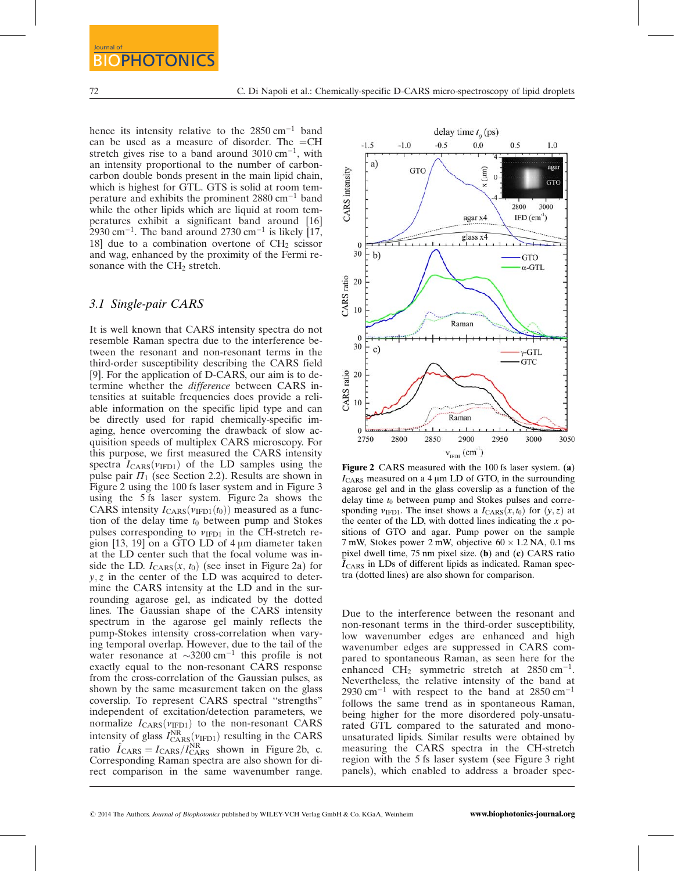hence its intensity relative to the  $2850 \text{ cm}^{-1}$  band can be used as a measure of disorder. The  $=CH$ stretch gives rise to a band around  $3010 \text{ cm}^{-1}$ , with an intensity proportional to the number of carboncarbon double bonds present in the main lipid chain, which is highest for GTL. GTS is solid at room temperature and exhibits the prominent  $2880 \text{ cm}^{-1}$  band while the other lipids which are liquid at room temperatures exhibit a significant band around [16]  $2930 \text{ cm}^{-1}$ . The band around 2730 cm<sup>-1</sup> is likely [17, 18] due to a combination overtone of  $CH<sub>2</sub>$  scissor and wag, enhanced by the proximity of the Fermi resonance with the  $CH<sub>2</sub>$  stretch.

#### 3.1 Single-pair CARS

It is well known that CARS intensity spectra do not resemble Raman spectra due to the interference between the resonant and non-resonant terms in the third-order susceptibility describing the CARS field [9]. For the application of D-CARS, our aim is to determine whether the difference between CARS intensities at suitable frequencies does provide a reliable information on the specific lipid type and can be directly used for rapid chemically-specific imaging, hence overcoming the drawback of slow acquisition speeds of multiplex CARS microscopy. For this purpose, we first measured the CARS intensity spectra  $I_{\text{CARS}}(\nu_{\text{IFD1}})$  of the LD samples using the pulse pair  $\Pi_1$  (see Section 2.2). Results are shown in Figure 2 using the 100 fs laser system and in Figure 3 using the 5 fs laser system. Figure 2a shows the CARS intensity  $I_{\text{CARS}}(\nu_{\text{IFD1}}(t_0))$  measured as a function of the delay time  $t_0$  between pump and Stokes pulses corresponding to  $v_{\text{IFD1}}$  in the CH-stretch region  $[13, 19]$  on a GTO LD of 4  $\mu$ m diameter taken at the LD center such that the focal volume was inside the LD.  $I_{\text{CARS}}(x, t_0)$  (see inset in Figure 2a) for  $y, z$  in the center of the LD was acquired to determine the CARS intensity at the LD and in the surrounding agarose gel, as indicated by the dotted lines. The Gaussian shape of the CARS intensity spectrum in the agarose gel mainly reflects the pump-Stokes intensity cross-correlation when varying temporal overlap. However, due to the tail of the water resonance at  $\sim$ 3200 cm<sup>-1</sup> this profile is not exactly equal to the non-resonant CARS response from the cross-correlation of the Gaussian pulses, as shown by the same measurement taken on the glass coverslip. To represent CARS spectral ''strengths" independent of excitation/detection parameters, we normalize  $I_{\text{CARS}}(\nu_{\text{IFD1}})$  to the non-resonant CARS intensity of glass  $I_{\text{CARS}}^{\text{NR}}(\nu_{\text{IFD1}})$  resulting in the CARS ratio  $\hat{I}_{\text{CARS}} = I_{\text{CARS}} / I_{\text{CARS}}^{\text{NR}}$  shown in Figure 2b, c. Corresponding Raman spectra are also shown for direct comparison in the same wavenumber range.



Figure 2 CARS measured with the 100 fs laser system. (a)  $I_{\text{CARS}}$  measured on a 4  $\mu$ m LD of GTO, in the surrounding agarose gel and in the glass coverslip as a function of the delay time  $t_0$  between pump and Stokes pulses and corresponding  $v_{\text{IFD1}}$ . The inset shows a  $I_{\text{CARS}}(x, t_0)$  for  $(y, z)$  at the center of the LD, with dotted lines indicating the  $x$  positions of GTO and agar. Pump power on the sample 7 mW, Stokes power 2 mW, objective  $60 \times 1.2$  NA, 0.1 ms pixel dwell time, 75 nm pixel size. (b) and (c) CARS ratio  $\hat{I}_{\text{CARS}}$  in LDs of different lipids as indicated. Raman spectra (dotted lines) are also shown for comparison.

Due to the interference between the resonant and non-resonant terms in the third-order susceptibility, low wavenumber edges are enhanced and high wavenumber edges are suppressed in CARS compared to spontaneous Raman, as seen here for the enhanced  $CH_2$  symmetric stretch at 2850 cm<sup>-1</sup>. Nevertheless, the relative intensity of the band at  $2930 \text{ cm}^{-1}$  with respect to the band at  $2850 \text{ cm}^{-1}$ follows the same trend as in spontaneous Raman, being higher for the more disordered poly-unsaturated GTL compared to the saturated and monounsaturated lipids. Similar results were obtained by measuring the CARS spectra in the CH-stretch region with the 5 fs laser system (see Figure 3 right panels), which enabled to address a broader spec-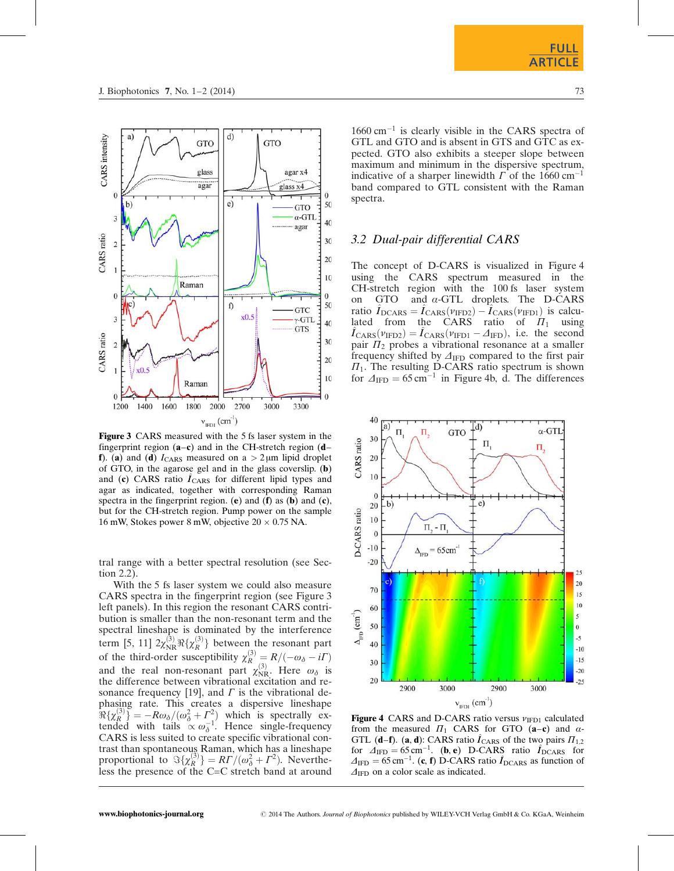

Figure 3 CARS measured with the 5 fs laser system in the fingerprint region  $(a-c)$  and in the CH-stretch region  $(d-d)$ f). (a) and (d)  $I_{\text{CARS}}$  measured on a  $> 2 \mu m$  lipid droplet of GTO, in the agarose gel and in the glass coverslip. (b) and  $(c)$  CARS ratio  $I_{CARS}$  for different lipid types and agar as indicated, together with corresponding Raman spectra in the fingerprint region. (e) and (f) as (b) and (c), but for the CH-stretch region. Pump power on the sample 16 mW, Stokes power 8 mW, objective  $20 \times 0.75$  NA.

tral range with a better spectral resolution (see Section 2.2).

With the 5 fs laser system we could also measure CARS spectra in the fingerprint region (see Figure 3 left panels). In this region the resonant CARS contribution is smaller than the non-resonant term and the spectral lineshape is dominated by the interference term [5, 11]  $2\chi^{(3)}_{\text{NR}}\Re{\{\chi^{(3)}_R\}}$  between the resonant part of the third-order susceptibility  $\chi_R^{(3)} = R/(-\omega_\delta - i\Gamma)$ and the real non-resonant part  $\chi_{\rm NR}^{(3)}$ . Here  $\omega_{\delta}$  is the difference between vibrational excitation and resonance frequency [19], and  $\Gamma$  is the vibrational dephasing rate. This creates a dispersive lineshape  $\Re{\chi_R^{(3)}} = -R\omega_\delta/(\omega_\delta^2 + \Gamma_\delta^2)$  which is spectrally extended with tails  $\propto \omega_{\delta}^{-1}$ . Hence single-frequency CARS is less suited to create specific vibrational contrast than spontaneous Raman, which has a lineshape proportional to  $\Im{\{\chi_R^{(3)}\}} = RT/(\omega_0^2 + \Gamma^2)$ . Nevertheless the presence of the C=C stretch band at around

 $1660 \text{ cm}^{-1}$  is clearly visible in the CARS spectra of GTL and GTO and is absent in GTS and GTC as expected. GTO also exhibits a steeper slope between maximum and minimum in the dispersive spectrum, indicative of a sharper linewidth  $\Gamma$  of the 1660 cm<sup>-1</sup> band compared to GTL consistent with the Raman spectra.

## 3.2 Dual-pair differential CARS

The concept of D-CARS is visualized in Figure 4 using the CARS spectrum measured in the CH-stretch region with the 100 fs laser system on GTO and  $\alpha$ -GTL droplets. The D-CARS ratio  $\hat{I}_{\text{DCARS}} = \hat{I}_{\text{CARS}}(\nu_{\text{IFD2}}) - \hat{I}_{\text{CARS}}(\nu_{\text{IFD1}})$  is calculated from the CARS ratio of  $\Pi_1$  using  $\hat{I}_{\text{CARS}}(\nu_{\text{IFD2}}) = \hat{I}_{\text{CARS}}(\nu_{\text{IFD1}} - \Delta_{\text{IFD}})$ , i.e. the second  $\hat{I}_{\text{CARS}}(\nu_{\text{IFD2}}) = \hat{I}_{\text{CARS}}(\nu_{\text{IFD1}} - \Delta_{\text{IFD}})$ , i.e. the second pair  $\Pi_2$  probes a vibrational resonance at a smaller frequency shifted by  $\Delta_{\text{IFD}}$  compared to the first pair  $\Pi_1$ . The resulting D-CARS ratio spectrum is shown for  $\Delta_{\text{IFD}} = 65 \text{ cm}^{-1}$  in Figure 4b, d. The differences



Figure 4 CARS and D-CARS ratio versus  $v_{\text{IFD1}}$  calculated from the measured  $\Pi_1$  CARS for GTO (a-c) and  $\alpha$ -GTL (**d–f**). (**a**, **d**): CARS ratio  $\hat{I}_{\text{CARS}}$  of the two pairs  $\Pi_{1,2}$ for  $\Delta_{\text{IFD}} = 65 \text{ cm}^{-1}$ . (b, e) D-CARS ratio  $\hat{I}_{\text{DCARS}}$  for  $\Delta_{\text{IFD}} = 65 \,\text{cm}^{-1}$ . (c, f) D-CARS ratio  $\hat{I}_{\text{DCARS}}$  as function of  $\Delta_{\text{IFD}}$  on a color scale as indicated.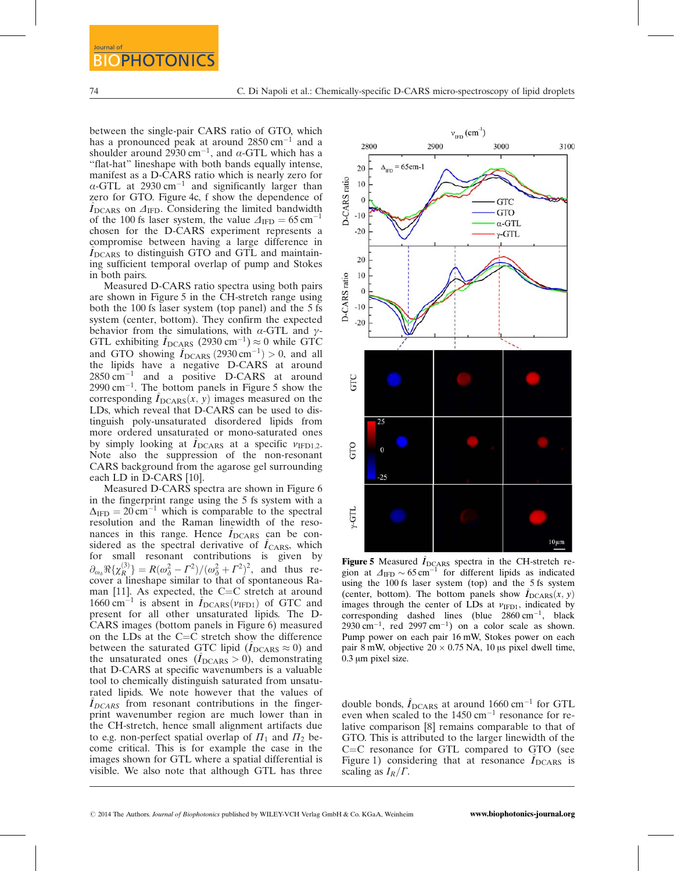between the single-pair CARS ratio of GTO, which has a pronounced peak at around  $2850 \text{ cm}^{-1}$  and a shoulder around 2930 cm<sup>-1</sup>, and  $\alpha$ -GTL which has a ''flat-hat" lineshape with both bands equally intense, manifest as a D-CARS ratio which is nearly zero for  $\alpha$ -GTL at 2930 cm<sup>-1</sup> and significantly larger than zero for GTO. Figure 4c, f show the dependence of  $I_{\text{DCARS}}$  on  $\Delta_{\text{IFD}}$ . Considering the limited bandwidth of the 100 fs laser system, the value  $\Delta_{\text{IFD}} = 65 \text{ cm}^{-1}$ chosen for the D-CARS experiment represents a compromise between having a large difference in  $I<sub>DCARS</sub>$  to distinguish GTO and GTL and maintaining sufficient temporal overlap of pump and Stokes in both pairs.

Measured D-CARS ratio spectra using both pairs are shown in Figure 5 in the CH-stretch range using both the 100 fs laser system (top panel) and the 5 fs system (center, bottom). They confirm the expected behavior from the simulations, with  $\alpha$ -GTL and  $\gamma$ -GTL exhibiting  $\hat{I}_{\text{DCARS}}$  (2930 cm<sup>-1</sup>)  $\approx$  0 while GTC and GTO showing  $\hat{I}_{\text{DCARS}}$  (2930 cm<sup>-1</sup>) > 0, and all the lipids have a negative D-CARS at around  $2850 \text{ cm}^{-1}$  and a positive D-CARS at around  $2990 \text{ cm}^{-1}$ . The bottom panels in Figure 5 show the corresponding  $I_{DCARS}(x, y)$  images measured on the LDs, which reveal that D-CARS can be used to distinguish poly-unsaturated disordered lipids from more ordered unsaturated or mono-saturated ones by simply looking at  $I_{DCARS}$  at a specific  $v_{IFD1,2}$ . Note also the suppression of the non-resonant CARS background from the agarose gel surrounding each LD in D-CARS [10].

Measured D-CARS spectra are shown in Figure 6 in the fingerprint range using the 5 fs system with a  $\Delta_{\text{IFD}} = 20 \text{ cm}^{-1}$  which is comparable to the spectral resolution and the Raman linewidth of the resonances in this range. Hence  $I_{DCARS}$  can be considered as the spectral derivative of  $\hat{I}_{\text{CARS}}$ , which for small resonant contributions is given by  $\partial_{\omega_{\delta}} \Re{\{\chi_{R}^{(3)}\}} = R(\omega_{\delta}^2 - \Gamma^2) / (\omega_{\delta}^2 + \Gamma^2)^2$ , and thus recover a lineshape similar to that of spontaneous Raman [11]. As expected, the  $C=C$  stretch at around 1660 cm<sup>-1</sup> is absent in  $\hat{I}_{\text{DCARS}}(\nu_{\text{IFD1}})$  of GTC and present for all other unsaturated lipids. The D-CARS images (bottom panels in Figure 6) measured on the LDs at the  $C=C$  stretch show the difference between the saturated GTC lipid  $(\dot{I}_{DCARS} \approx 0)$  and the unsaturated ones  $(I_{DCARS} > 0)$ , demonstrating that D-CARS at specific wavenumbers is a valuable tool to chemically distinguish saturated from unsaturated lipids. We note however that the values of  $I_{DCARS}$  from resonant contributions in the fingerprint wavenumber region are much lower than in the CH-stretch, hence small alignment artifacts due to e.g. non-perfect spatial overlap of  $\Pi_1$  and  $\Pi_2$  become critical. This is for example the case in the images shown for GTL where a spatial differential is visible. We also note that although GTL has three



Figure 5 Measured  $\hat{I}_{DCARS}$  spectra in the CH-stretch region at  $\Delta_{\text{IFD}} \sim 65 \text{ cm}^{-1}$  for different lipids as indicated using the 100 fs laser system (top) and the 5 fs system (center, bottom). The bottom panels show  $I_{DCARS}(x, y)$ images through the center of LDs at  $v_{\text{IFD1}}$ , indicated by corresponding dashed lines (blue  $2860 \text{ cm}^{-1}$ , black 2930 cm<sup>-1</sup>, red 2997 cm<sup>-1</sup>) on a color scale as shown. Pump power on each pair 16 mW, Stokes power on each pair 8 mW, objective  $20 \times 0.75$  NA, 10 us pixel dwell time,  $0.3 \mu m$  pixel size.

double bonds,  $\hat{I}_{\text{DCARS}}$  at around 1660 cm<sup>-1</sup> for GTL even when scaled to the  $1450 \text{ cm}^{-1}$  resonance for relative comparison [8] remains comparable to that of GTO. This is attributed to the larger linewidth of the  $C=C$  resonance for GTL compared to GTO (see Figure 1) considering that at resonance  $I_{DCARS}$  is scaling as  $I_R/\Gamma$ .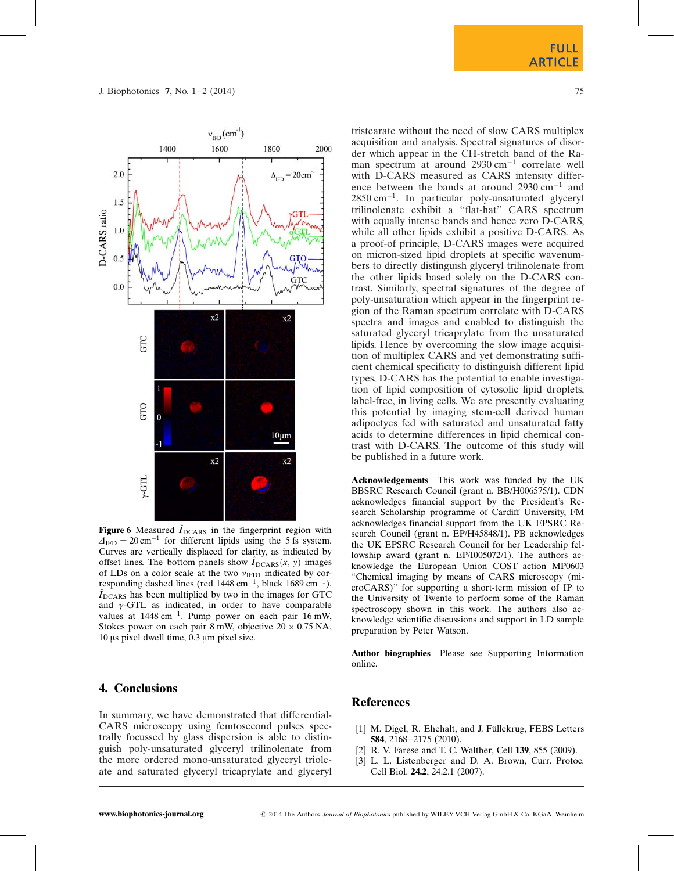

**Figure 6** Measured  $\hat{I}_{DCARS}$  in the fingerprint region with  $\Delta_{\text{IFD}} = 20 \text{ cm}^{-1}$  for different lipids using the 5 fs system. Curves are vertically displaced for clarity, as indicated by offset lines. The bottom panels show  $I_{DCARS}(x, y)$  images of LDs on a color scale at the two  $v_{\text{IFD1}}$  indicated by corresponding dashed lines (red 1448 cm<sup>-1</sup>, black 1689 cm<sup>-1</sup>).<br> $\hat{I}_{\text{DCARS}}$  has been multiplied by two in the images for GTC and  $\gamma$ -GTL as indicated, in order to have comparable values at  $1448 \text{ cm}^{-1}$ . Pump power on each pair 16 mW, Stokes power on each pair 8 mW, objective  $20 \times 0.75$  NA, 10 us pixel dwell time, 0.3 um pixel size.

## 4. Conclusions

In summary, we have demonstrated that differential-CARS microscopy using femtosecond pulses spectrally focussed by glass dispersion is able to distinguish poly-unsaturated glyceryl trilinolenate from the more ordered mono-unsaturated glyceryl trioleate and saturated glyceryl tricaprylate and glyceryl tristearate without the need of slow CARS multiplex acquisition and analysis. Spectral signatures of disorder which appear in the CH-stretch band of the Raman spectrum at around  $2930 \text{ cm}^{-1}$  correlate well with D-CARS measured as CARS intensity difference between the bands at around  $2930 \text{ cm}^{-1}$  and  $2850 \text{ cm}^{-1}$ . In particular poly-unsaturated glyceryl trilinolenate exhibit a ''flat-hat" CARS spectrum with equally intense bands and hence zero D-CARS, while all other lipids exhibit a positive D-CARS. As a proof-of principle, D-CARS images were acquired on micron-sized lipid droplets at specific wavenumbers to directly distinguish glyceryl trilinolenate from the other lipids based solely on the D-CARS contrast. Similarly, spectral signatures of the degree of poly-unsaturation which appear in the fingerprint region of the Raman spectrum correlate with D-CARS spectra and images and enabled to distinguish the saturated glyceryl tricaprylate from the unsaturated lipids. Hence by overcoming the slow image acquisition of multiplex CARS and yet demonstrating sufficient chemical specificity to distinguish different lipid types, D-CARS has the potential to enable investigation of lipid composition of cytosolic lipid droplets, label-free, in living cells. We are presently evaluating this potential by imaging stem-cell derived human adipoctyes fed with saturated and unsaturated fatty acids to determine differences in lipid chemical contrast with D-CARS. The outcome of this study will be published in a future work.

Acknowledgements This work was funded by the UK BBSRC Research Council (grant n. BB/H006575/1). CDN acknowledges financial support by the President's Research Scholarship programme of Cardiff University, FM acknowledges financial support from the UK EPSRC Research Council (grant n. EP/H45848/1). PB acknowledges the UK EPSRC Research Council for her Leadership fellowship award (grant n. EP/I005072/1). The authors acknowledge the European Union COST action MP0603 "Chemical imaging by means of CARS microscopy (microCARS)" for supporting a short-term mission of IP to the University of Twente to perform some of the Raman spectroscopy shown in this work. The authors also acknowledge scientific discussions and support in LD sample preparation by Peter Watson.

Author biographies Please see Supporting Information online.

### **References**

- [1] M. Digel, R. Ehehalt, and J. Füllekrug, FEBS Letters 584, 2168–2175 (2010).
- [2] R. V. Farese and T. C. Walther, Cell 139, 855 (2009).
- [3] L. L. Listenberger and D. A. Brown, Curr. Protoc. Cell Biol. 24.2, 24.2.1 (2007).